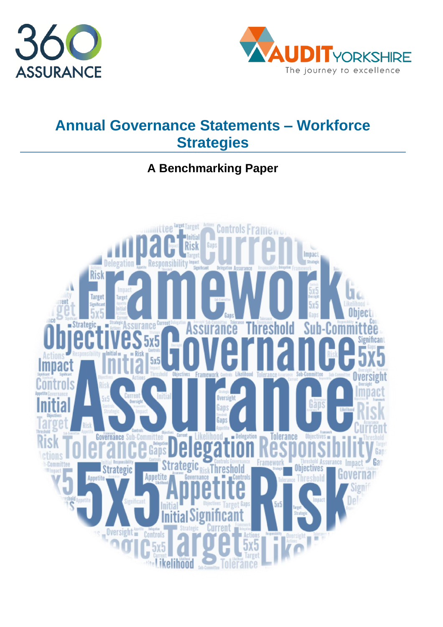



# **Annual Governance Statements – Workforce Strategies**

## **A Benchmarking Paper**

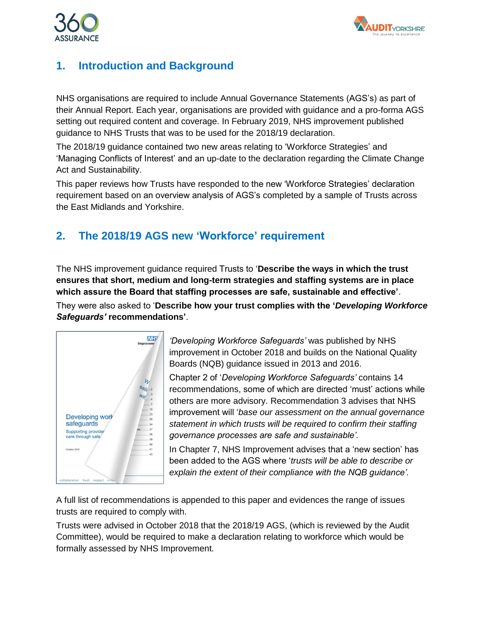



### **1. Introduction and Background**

NHS organisations are required to include Annual Governance Statements (AGS's) as part of their Annual Report. Each year, organisations are provided with guidance and a pro-forma AGS setting out required content and coverage. In February 2019, NHS improvement published guidance to NHS Trusts that was to be used for the 2018/19 declaration.

The 2018/19 guidance contained two new areas relating to 'Workforce Strategies' and 'Managing Conflicts of Interest' and an up-date to the declaration regarding the Climate Change Act and Sustainability.

This paper reviews how Trusts have responded to the new 'Workforce Strategies' declaration requirement based on an overview analysis of AGS's completed by a sample of Trusts across the East Midlands and Yorkshire.

### **2. The 2018/19 AGS new 'Workforce' requirement**

The NHS improvement guidance required Trusts to '**Describe the ways in which the trust ensures that short, medium and long-term strategies and staffing systems are in place which assure the Board that staffing processes are safe, sustainable and effective'**.

They were also asked to '**Describe how your trust complies with the '***Developing Workforce Safeguards'* **recommendations'**.



*'Developing Workforce Safeguards'* was published by NHS improvement in October 2018 and builds on the National Quality Boards (NQB) guidance issued in 2013 and 2016.

Chapter 2 of '*Developing Workforce Safeguards'* contains 14 recommendations, some of which are directed 'must' actions while others are more advisory. Recommendation 3 advises that NHS improvement will '*base our assessment on the annual governance statement in which trusts will be required to confirm their staffing governance processes are safe and sustainable'.*

In Chapter 7, NHS Improvement advises that a 'new section' has been added to the AGS where '*trusts will be able to describe or explain the extent of their compliance with the NQB guidance'.*

A full list of recommendations is appended to this paper and evidences the range of issues trusts are required to comply with.

Trusts were advised in October 2018 that the 2018/19 AGS, (which is reviewed by the Audit Committee), would be required to make a declaration relating to workforce which would be formally assessed by NHS Improvement.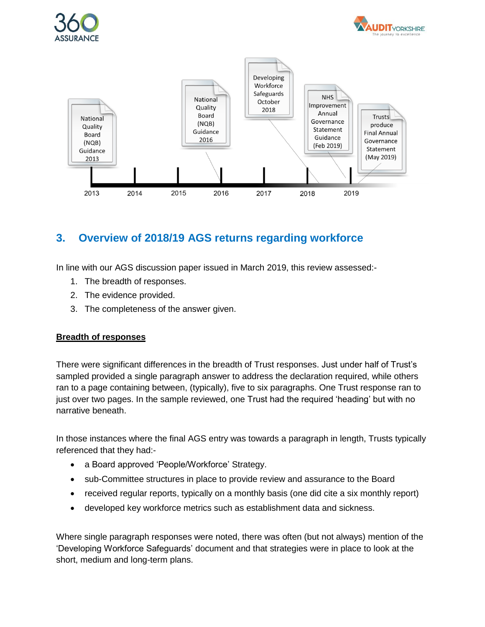





### **3. Overview of 2018/19 AGS returns regarding workforce**

In line with our AGS discussion paper issued in March 2019, this review assessed:-

- 1. The breadth of responses.
- 2. The evidence provided.
- 3. The completeness of the answer given.

#### **Breadth of responses**

There were significant differences in the breadth of Trust responses. Just under half of Trust's sampled provided a single paragraph answer to address the declaration required, while others ran to a page containing between, (typically), five to six paragraphs. One Trust response ran to just over two pages. In the sample reviewed, one Trust had the required 'heading' but with no narrative beneath.

In those instances where the final AGS entry was towards a paragraph in length, Trusts typically referenced that they had:-

- a Board approved 'People/Workforce' Strategy.
- sub-Committee structures in place to provide review and assurance to the Board
- received regular reports, typically on a monthly basis (one did cite a six monthly report)
- developed key workforce metrics such as establishment data and sickness.

Where single paragraph responses were noted, there was often (but not always) mention of the 'Developing Workforce Safeguards' document and that strategies were in place to look at the short, medium and long-term plans.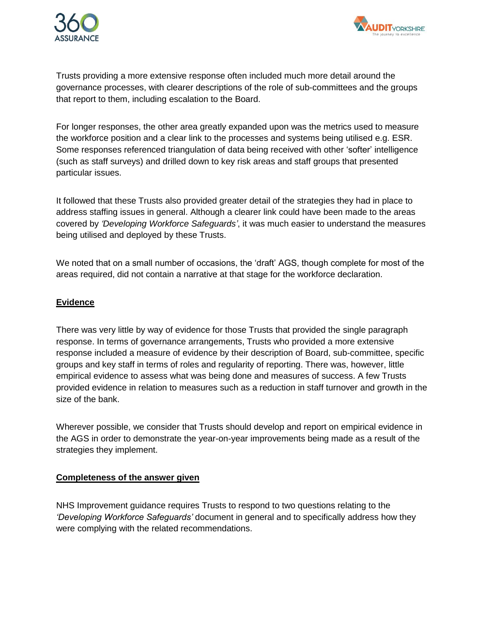



Trusts providing a more extensive response often included much more detail around the governance processes, with clearer descriptions of the role of sub-committees and the groups that report to them, including escalation to the Board.

For longer responses, the other area greatly expanded upon was the metrics used to measure the workforce position and a clear link to the processes and systems being utilised e.g. ESR. Some responses referenced triangulation of data being received with other 'softer' intelligence (such as staff surveys) and drilled down to key risk areas and staff groups that presented particular issues.

It followed that these Trusts also provided greater detail of the strategies they had in place to address staffing issues in general. Although a clearer link could have been made to the areas covered by *'Developing Workforce Safeguards'*, it was much easier to understand the measures being utilised and deployed by these Trusts.

We noted that on a small number of occasions, the 'draft' AGS, though complete for most of the areas required, did not contain a narrative at that stage for the workforce declaration.

#### **Evidence**

There was very little by way of evidence for those Trusts that provided the single paragraph response. In terms of governance arrangements, Trusts who provided a more extensive response included a measure of evidence by their description of Board, sub-committee, specific groups and key staff in terms of roles and regularity of reporting. There was, however, little empirical evidence to assess what was being done and measures of success. A few Trusts provided evidence in relation to measures such as a reduction in staff turnover and growth in the size of the bank.

Wherever possible, we consider that Trusts should develop and report on empirical evidence in the AGS in order to demonstrate the year-on-year improvements being made as a result of the strategies they implement.

#### **Completeness of the answer given**

NHS Improvement guidance requires Trusts to respond to two questions relating to the *'Developing Workforce Safeguards'* document in general and to specifically address how they were complying with the related recommendations.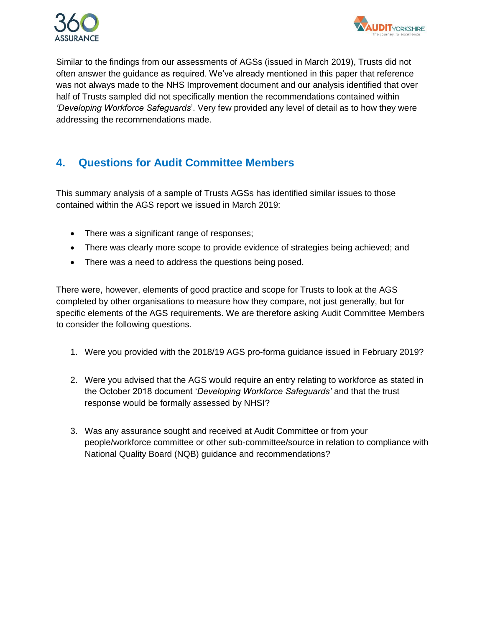



Similar to the findings from our assessments of AGSs (issued in March 2019), Trusts did not often answer the guidance as required. We've already mentioned in this paper that reference was not always made to the NHS Improvement document and our analysis identified that over half of Trusts sampled did not specifically mention the recommendations contained within *'Developing Workforce Safeguards*'. Very few provided any level of detail as to how they were addressing the recommendations made.

### **4. Questions for Audit Committee Members**

This summary analysis of a sample of Trusts AGSs has identified similar issues to those contained within the AGS report we issued in March 2019:

- There was a significant range of responses;
- There was clearly more scope to provide evidence of strategies being achieved; and
- There was a need to address the questions being posed.

There were, however, elements of good practice and scope for Trusts to look at the AGS completed by other organisations to measure how they compare, not just generally, but for specific elements of the AGS requirements. We are therefore asking Audit Committee Members to consider the following questions.

- 1. Were you provided with the 2018/19 AGS pro-forma guidance issued in February 2019?
- 2. Were you advised that the AGS would require an entry relating to workforce as stated in the October 2018 document '*Developing Workforce Safeguards'* and that the trust response would be formally assessed by NHSI?
- 3. Was any assurance sought and received at Audit Committee or from your people/workforce committee or other sub-committee/source in relation to compliance with National Quality Board (NQB) guidance and recommendations?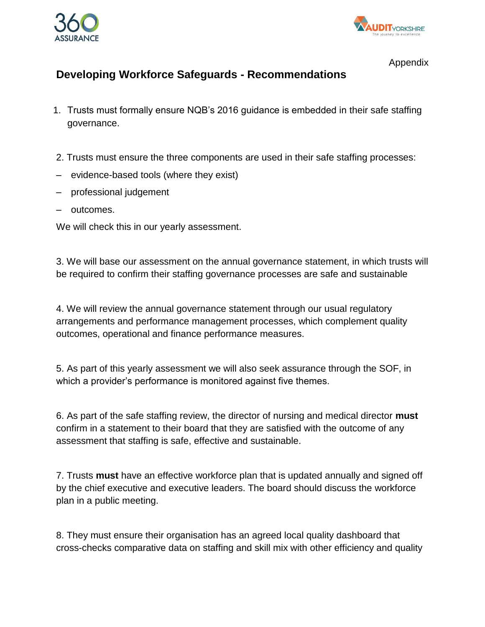



Appendix

### **Developing Workforce Safeguards - Recommendations**

- 1. Trusts must formally ensure NQB's 2016 guidance is embedded in their safe staffing governance.
- 2. Trusts must ensure the three components are used in their safe staffing processes:
- evidence-based tools (where they exist)
- professional judgement
- outcomes.

We will check this in our yearly assessment.

3. We will base our assessment on the annual governance statement, in which trusts will be required to confirm their staffing governance processes are safe and sustainable

4. We will review the annual governance statement through our usual regulatory arrangements and performance management processes, which complement quality outcomes, operational and finance performance measures.

5. As part of this yearly assessment we will also seek assurance through the SOF, in which a provider's performance is monitored against five themes.

6. As part of the safe staffing review, the director of nursing and medical director **must**  confirm in a statement to their board that they are satisfied with the outcome of any assessment that staffing is safe, effective and sustainable.

7. Trusts **must** have an effective workforce plan that is updated annually and signed off by the chief executive and executive leaders. The board should discuss the workforce plan in a public meeting.

8. They must ensure their organisation has an agreed local quality dashboard that cross-checks comparative data on staffing and skill mix with other efficiency and quality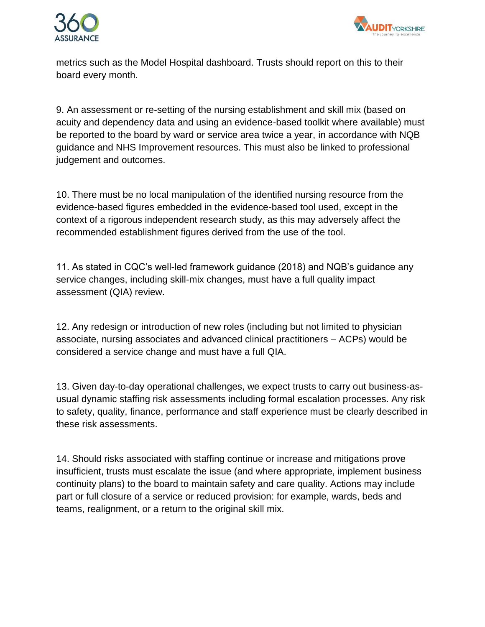



metrics such as the Model Hospital dashboard. Trusts should report on this to their board every month.

9. An assessment or re-setting of the nursing establishment and skill mix (based on acuity and dependency data and using an evidence-based toolkit where available) must be reported to the board by ward or service area twice a year, in accordance with NQB guidance and NHS Improvement resources. This must also be linked to professional judgement and outcomes.

10. There must be no local manipulation of the identified nursing resource from the evidence-based figures embedded in the evidence-based tool used, except in the context of a rigorous independent research study, as this may adversely affect the recommended establishment figures derived from the use of the tool.

11. As stated in CQC's well-led framework guidance (2018) and NQB's guidance any service changes, including skill-mix changes, must have a full quality impact assessment (QIA) review.

12. Any redesign or introduction of new roles (including but not limited to physician associate, nursing associates and advanced clinical practitioners – ACPs) would be considered a service change and must have a full QIA.

13. Given day-to-day operational challenges, we expect trusts to carry out business-asusual dynamic staffing risk assessments including formal escalation processes. Any risk to safety, quality, finance, performance and staff experience must be clearly described in these risk assessments.

14. Should risks associated with staffing continue or increase and mitigations prove insufficient, trusts must escalate the issue (and where appropriate, implement business continuity plans) to the board to maintain safety and care quality. Actions may include part or full closure of a service or reduced provision: for example, wards, beds and teams, realignment, or a return to the original skill mix.